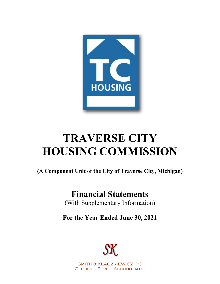

# **TRAVERSE CITY HOUSING COMMISSION**

**(A Component Unit of the City of Traverse City, Michigan)** 

## **Financial Statements**

(With Supplementary Information)

**For the Year Ended June 30, 2021**



SMITH & KLACZKIEWICZ, PC **CERTIFIED PUBLIC ACCOUNTANTS**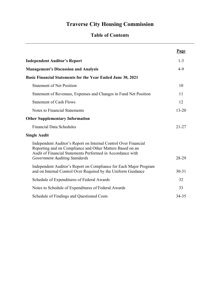## **Table of Contents**

|                                                                                                                                                                                                                                    | Page      |
|------------------------------------------------------------------------------------------------------------------------------------------------------------------------------------------------------------------------------------|-----------|
| <b>Independent Auditor's Report</b>                                                                                                                                                                                                | $1 - 3$   |
| <b>Management's Discussion and Analysis</b>                                                                                                                                                                                        | $4-9$     |
| <b>Basic Financial Statements for the Year Ended June 30, 2021</b>                                                                                                                                                                 |           |
| <b>Statement of Net Position</b>                                                                                                                                                                                                   | 10        |
| Statement of Revenues, Expenses and Changes in Fund Net Position                                                                                                                                                                   | 11        |
| <b>Statement of Cash Flows</b>                                                                                                                                                                                                     | 12        |
| Notes to Financial Statements                                                                                                                                                                                                      | $13 - 20$ |
| <b>Other Supplementary Information</b>                                                                                                                                                                                             |           |
| <b>Financial Data Schedules</b>                                                                                                                                                                                                    | $21 - 27$ |
| <b>Single Audit</b>                                                                                                                                                                                                                |           |
| Independent Auditor's Report on Internal Control Over Financial<br>Reporting and on Compliance and Other Matters Based on an<br>Audit of Financial Statements Performed in Accordance with<br><b>Government Auditing Standards</b> | 28-29     |
| Independent Auditor's Report on Compliance for Each Major Program<br>and on Internal Control Over Required by the Uniform Guidance                                                                                                 | $30 - 31$ |
| Schedule of Expenditures of Federal Awards                                                                                                                                                                                         | 32        |
| Notes to Schedule of Expenditures of Federal Awards                                                                                                                                                                                | 33        |
| Schedule of Findings and Questioned Costs                                                                                                                                                                                          | 34-35     |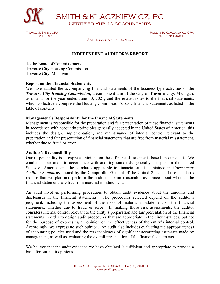

SMITH & KLACZKIEWICZ, PC Certified Public Accountants

Thomas J. Smith, CPA Robert R. Klaczkiewicz, CPA (989) 751-3064

A veteran owned business

## **INDEPENDENT AUDITOR'S REPORT**

To the Board of Commissioners Traverse City Housing Commission Traverse City, Michigan

### **Report on the Financial Statements**

We have audited the accompanying financial statements of the business-type activities of the *Traverse City Housing Commission*, a component unit of the City of Traverse City, Michigan, as of and for the year ended June 30, 2021, and the related notes to the financial statements, which collectively comprise the Housing Commission's basic financial statements as listed in the table of contents.

### **Management's Responsibility for the Financial Statements**

Management is responsible for the preparation and fair presentation of these financial statements in accordance with accounting principles generally accepted in the United States of America; this includes the design, implementation, and maintenance of internal control relevant to the preparation and fair presentation of financial statements that are free from material misstatement, whether due to fraud or error.

#### **Auditor's Responsibility**

Our responsibility is to express opinions on these financial statements based on our audit. We conducted our audit in accordance with auditing standards generally accepted in the United States of America and the standards applicable to financial audits contained in *Government Auditing Standards*, issued by the Comptroller General of the United States. Those standards require that we plan and perform the audit to obtain reasonable assurance about whether the financial statements are free from material misstatement.

An audit involves performing procedures to obtain audit evidence about the amounts and disclosures in the financial statements. The procedures selected depend on the auditor's judgment, including the assessment of the risks of material misstatement of the financial statements, whether due to fraud or error. In making those risk assessments, the auditor considers internal control relevant to the entity's preparation and fair presentation of the financial statements in order to design audit procedures that are appropriate in the circumstances, but not for the purpose of expressing an opinion on the effectiveness of the entity's internal control. Accordingly, we express no such opinion. An audit also includes evaluating the appropriateness of accounting policies used and the reasonableness of significant accounting estimates made by management, as well as evaluating the overall presentation of the financial statements.

We believe that the audit evidence we have obtained is sufficient and appropriate to provide a basis for our audit opinions.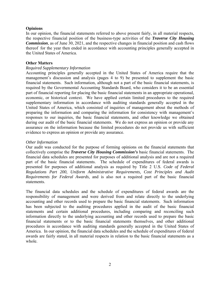## **Opinions**

In our opinion, the financial statements referred to above present fairly, in all material respects, the respective financial position of the business-type activities of the *Traverse City Housing Commission*, as of June 30, 2021, and the respective changes in financial position and cash flows thereof for the year then ended in accordance with accounting principles generally accepted in the United States of America.

## **Other Matters**

### *Required Supplementary Information*

Accounting principles generally accepted in the United States of America require that the management's discussion and analysis (pages 4 to 9) be presented to supplement the basic financial statements. Such information, although not a part of the basic financial statements, is required by the Governmental Accounting Standards Board, who considers it to be an essential part of financial reporting for placing the basic financial statements in an appropriate operational, economic, or historical context. We have applied certain limited procedures to the required supplementary information in accordance with auditing standards generally accepted in the United States of America, which consisted of inquiries of management about the methods of preparing the information and comparing the information for consistency with management's responses to our inquiries, the basic financial statements, and other knowledge we obtained during our audit of the basic financial statements. We do not express an opinion or provide any assurance on the information because the limited procedures do not provide us with sufficient evidence to express an opinion or provide any assurance.

### *Other Information*

Our audit was conducted for the purpose of forming opinions on the financial statements that collectively comprise the *Traverse City Housing Commission's* basic financial statements. The financial data schedules are presented for purposes of additional analysis and are not a required part of the basic financial statements. The schedule of expenditures of federal awards is presented for purposes of additional analysis as required by Title 2 U.S. *Code of Federal Regulations Part 200, Uniform Administrative Requirements, Cost Principles and Audit Requirements for Federal Awards*, and is also not a required part of the basic financial statements.

The financial data schedules and the schedule of expenditures of federal awards are the responsibility of management and were derived from and relate directly to the underlying accounting and other records used to prepare the basic financial statements. Such information has been subjected to the auditing procedures applied in the audit of the basic financial statements and certain additional procedures, including comparing and reconciling such information directly to the underlying accounting and other records used to prepare the basic financial statements or to the basic financial statements themselves, and other additional procedures in accordance with auditing standards generally accepted in the United States of America. In our opinion, the financial data schedules and the schedule of expenditures of federal awards are fairly stated, in all material respects in relation to the basic financial statements as a whole.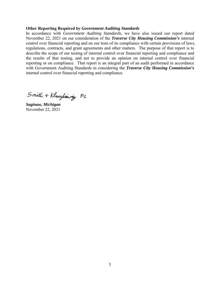#### **Other Reporting Required by** *Government Auditing Standards*

In accordance with Government Auditing Standards, we have also issued our report dated November 22, 2021 on our consideration of the *Traverse City Housing Commission's* internal control over financial reporting and on our tests of its compliance with certain provisions of laws, regulations, contracts, and grant agreements and other matters. The purpose of that report is to describe the scope of our testing of internal control over financial reporting and compliance and the results of that testing, and not to provide an opinion on internal control over financial reporting or on compliance. That report is an integral part of an audit performed in accordance with Government Auditing Standards in considering the *Traverse City Housing Commission's* internal control over financial reporting and compliance.

Smith + Klacyhiannig PC

*Saginaw, Michigan* November 22, 2021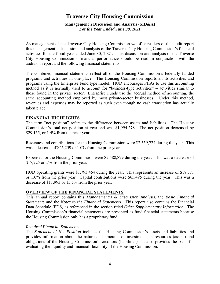## **Traverse City Housing Commission Management's Discussion and Analysis (MD&A)**  *For the Year Ended June 30, 2021*

As management of the Traverse City Housing Commission we offer readers of this audit report this management's discussion and analysis of the Traverse City Housing Commission's financial activities for the fiscal year ended June 30, 2021. This discussion and analysis of the Traverse City Housing Commission's financial performance should be read in conjunction with the auditor's report and the following financial statements.

The combined financial statements reflect all of the Housing Commission's federally funded programs and activities in one place. The Housing Commission reports all its activities and programs using the Enterprise Fund type model. HUD encourages PHAs to use this accounting method as it is normally used to account for "business-type activities" – activities similar to those found in the private sector. Enterprise Funds use the accrual method of accounting, the same accounting method employed by most private-sector businesses. Under this method, revenues and expenses may be reported as such even though no cash transaction has actually taken place.

## **FINANCIAL HIGHLIGHTS**

The term "net position" refers to the difference between assets and liabilities. The Housing Commission's total net position at year-end was \$1,994,278. The net position decreased by \$29,155, or 1.4% from the prior year.

Revenues and contributions for the Housing Commission were \$2,559,724 during the year. This was a decrease of \$26,259 or 1.0% from the prior year.

Expenses for the Housing Commission were \$2,588,879 during the year. This was a decrease of \$17,725 or .7% from the prior year.

HUD operating grants were \$1,793,464 during the year. This represents an increase of \$18,371 or 1.0% from the prior year. Capital contributions were \$65,495 during the year. This was a decrease of \$11,993 or 15.5% from the prior year.

## **OVERVIEW OF THE FINANCIAL STATEMENTS**

This annual report contains this *Management's & Discussion Analysis*, the *Basic Financial Statements* and the *Notes to the Financial Statements*. This report also contains the Financial Data Schedule (FDS) as referenced in the section titled *Other Supplementary Information*. The Housing Commission's financial statements are presented as fund financial statements because the Housing Commission only has a proprietary fund.

#### *Required Financial Statements*

The *Statement of Net Position* includes the Housing Commission's assets and liabilities and provides information about the nature and amounts of investments in resources (assets) and obligations of the Housing Commission's creditors (liabilities). It also provides the basis for evaluating the liquidity and financial flexibility of the Housing Commission.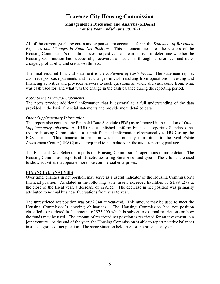## **Traverse City Housing Commission Management's Discussion and Analysis (MD&A)**  *For the Year Ended June 30, 2021*

All of the current year's revenues and expenses are accounted for in the *Statement of Revenues, Expenses and Changes in Fund Net Position*. This statement measures the success of the Housing Commission's operations over the past year and can be used to determine whether the Housing Commission has successfully recovered all its costs through its user fees and other charges, profitability and credit worthiness.

The final required financial statement is the *Statement of Cash Flows*. The statement reports cash receipts, cash payments and net changes in cash resulting from operations, investing and financing activities and provides answers to such questions as where did cash come from, what was cash used for, and what was the change in the cash balance during the reporting period.

### *Notes to the Financial Statements*

The notes provide additional information that is essential to a full understanding of the data provided in the basic financial statements and provide more detailed data.

### *Other Supplementary Information*

This report also contains the Financial Data Schedule (FDS) as referenced in the section of *Other Supplementary Information*. HUD has established Uniform Financial Reporting Standards that require Housing Commissions to submit financial information electronically to HUD using the FDS format. This financial information was electronically transmitted to the Real Estate Assessment Center (REAC) and is required to be included in the audit reporting package.

The Financial Data Schedule reports the Housing Commission's operations in more detail. The Housing Commission reports all its activities using Enterprise fund types. These funds are used to show activities that operate more like commercial enterprises.

## **FINANCIAL ANALYSIS**

Over time, changes in net position may serve as a useful indicator of the Housing Commission's financial position. As stated in the following table, assets exceeded liabilities by \$1,994,278 at the close of the fiscal year, a decrease of \$29,155. The decrease in net position was primarily attributed to normal business fluctuations from year to year.

The unrestricted net position was \$632,340 at year-end. This amount may be used to meet the Housing Commission's ongoing obligations. The Housing Commission had net position classified as restricted in the amount of \$75,000 which is subject to external restrictions on how the funds may be used. The amount of restricted net position is restricted for an investment in a joint venture. At the end of the year, the Housing Commission is able to report positive balances in all categories of net position. The same situation held true for the prior fiscal year.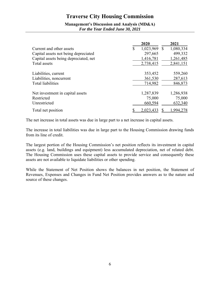## **Management's Discussion and Analysis (MD&A)**  *For the Year Ended June 30, 2021*

|                                       | 2020            | 2021           |
|---------------------------------------|-----------------|----------------|
| Current and other assets              | 1,023,969<br>\$ | 1,080,334<br>S |
| Capital assets not being depreciated  | 297,665         | 499,332        |
| Capital assets being depreciated, net | 1,416,781       | 1,261,485      |
| Total assets                          | 2,738,415       | 2,841,151      |
|                                       |                 |                |
| Liabilities, current                  | 353,452         | 559,260        |
| Liabilities, noncurrent               | 361,530         | 287,613        |
| <b>Total liabilities</b>              | 714,982         | 846,873        |
|                                       |                 |                |
| Net investment in capital assets      | 1,287,839       | 1,286,938      |
| Restricted                            | 75,000          | 75,000         |
| Unrestricted                          | 660,594         | 632,340        |
| Total net position                    | 2,023,433       | 1,994,278      |

The net increase in total assets was due in large part to a net increase in capital assets.

The increase in total liabilities was due in large part to the Housing Commission drawing funds from its line of credit.

The largest portion of the Housing Commission's net position reflects its investment in capital assets (e.g. land, buildings and equipment) less accumulated depreciation, net of related debt. The Housing Commission uses these capital assets to provide service and consequently these assets are not available to liquidate liabilities or other spending.

While the Statement of Net Position shows the balances in net position, the Statement of Revenues, Expenses and Changes in Fund Net Position provides answers as to the nature and source of these changes.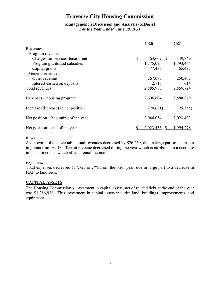## **Management's Discussion and Analysis (MD&A)**  *For the Year Ended June 30, 2021*

|                                        | 2020             | 2021             |
|----------------------------------------|------------------|------------------|
| Revenues:                              |                  |                  |
| Program revenues:                      |                  |                  |
| Charges for services-tenant rent       | \$<br>463,609 \$ | 449,749          |
| Program grants and subsidies           | 1,775,093        | 1,793,464        |
| Capital grants                         | 77,488           | 65,495           |
| General revenues:                      |                  |                  |
| Other revenue                          | 267,077          | 250,402          |
| Interest earned on deposits            | 2,716            | 614              |
| Total revenues                         | 2,585,983        | 2,559,724        |
| Expenses – housing program             | 2,606,604        | 2,588,879        |
| Increase (decrease) in net position    | (20,621)         | (29, 155)        |
| Net position $-$ beginning of the year | 2,044,054        | 2,023,433        |
| Net position $-$ end of the year       | 2,023,433        | .994 <u>.278</u> |

### *Revenues*:

As shown in the above table, total revenues decreased by \$26,259, due in large part to decreases in grants from HUD. Tenant revenue decreased during the year which is attributed to a decrease in tenant incomes which affects rental income.

### *Expenses*:

Total expenses decreased \$17,725 or .7% from the prior year, due in large part to a decrease in HAP to landlords.

## **CAPITAL ASSETS**

The Housing Commission's investment in capital assets, net of related debt at the end of the year was \$1,286,938. This investment in capital assets includes land, buildings, improvements, and equipment.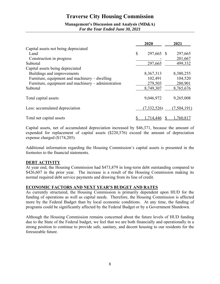## **Management's Discussion and Analysis (MD&A)**  *For the Year Ended June 30, 2021*

|                                                     | 2020             | 2021          |
|-----------------------------------------------------|------------------|---------------|
| Capital assets not being depreciated                |                  |               |
| Land                                                | \$<br>297,665 \$ | 297,665       |
| Construction in progress                            |                  | 201,667       |
| Subtotal                                            | 297,665          | 499,332       |
| Capital assets being depreciated                    |                  |               |
| Buildings and improvements                          | 8,367,313        | 8,380,255     |
| Furniture, equipment and machinery $-$ dwelling     | 102,491          | 104,520       |
| Furniture, equipment and machinery – administration | 279,503          | 280,901       |
| Subtotal                                            | 8,749,307        | 8,765,676     |
| Total capital assets                                | 9,046,972        | 9,265,008     |
| Less: accumulated depreciation                      | (7, 332, 526)    | (7, 504, 191) |
| Total net capital assets                            | .714.446         | .760,817      |

Capital assets, net of accumulated depreciation increased by \$46,371, because the amount of expended for replacement of capital assets (\$220,576) exceed the amount of depreciation expense charged (\$174,205).

Additional information regarding the Housing Commission's capital assets is presented in the footnotes to the financial statements.

## **DEBT ACTIVITY**

At year end, the Housing Commission had \$473,879 in long-term debt outstanding compared to \$426,607 in the prior year. The increase is a result of the Housing Commission making its normal required debt service payments and drawing from its line of credit.

## **ECONOMIC FACTORS AND NEXT YEAR'S BUDGET AND RATES**

As currently structured, the Housing Commission is primarily dependent upon HUD for the funding of operations as well as capital needs. Therefore, the Housing Commission is affected more by the Federal Budget than by local economic conditions. At any time, the funding of programs could be significantly affected by the Federal Budget or by a Government Shutdown.

Although the Housing Commission remains concerned about the future levels of HUD funding due to the State of the Federal budget, we feel that we are both financially and operationally in a strong position to continue to provide safe, sanitary, and decent housing to our residents for the foreseeable future.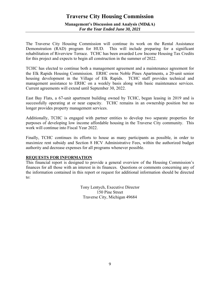## **Traverse City Housing Commission Management's Discussion and Analysis (MD&A)**  *For the Year Ended June 30, 2021*

The Traverse City Housing Commission will continue its work on the Rental Assistance Demonstration (RAD) program for HUD. This will include preparing for a significant rehabilitation of Riverview Terrace. TCHC has been awarded Low Income Housing Tax Credits for this project and expects to begin all construction in the summer of 2022.

TCHC has elected to continue both a management agreement and a maintenance agreement for the Elk Rapids Housing Commission. ERHC owns Noble Pines Apartments, a 20-unit senior housing development in the Village of Elk Rapids. TCHC staff provides technical and management assistance to ERHC on a weekly basis along with basic maintenance services. Current agreements will extend until September 30, 2022.

East Bay Flats, a 67-unit apartment building owned by TCHC, began leasing in 2019 and is successfully operating at or near capacity. TCHC remains in an ownership position but no longer provides property management services.

Additionally, TCHC is engaged with partner entities to develop two separate properties for purposes of developing low income affordable housing in the Traverse City community. This work will continue into Fiscal Year 2022.

Finally, TCHC continues its efforts to house as many participants as possible, in order to maximize rent subsidy and Section 8 HCV Administrative Fees, within the authorized budget authority and decrease expenses for all programs whenever possible.

## **REQUESTS FOR INFORMATION**

This financial report is designed to provide a general overview of the Housing Commission's finances for all those with an interest in its finances. Questions or comments concerning any of the information contained in this report or request for additional information should be directed to:

> Tony Lentych, Executive Director 150 Pine Street Traverse City, Michigan 49684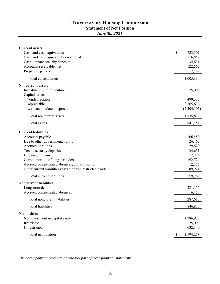## **Traverse City Housing Commission Statement of Net Position** *June 30, 2021*

| <b>Current assets</b>                                      |                           |
|------------------------------------------------------------|---------------------------|
| Cash and cash equivalents                                  | \$<br>723,507             |
| Cash and cash equivalents - restricted                     | 116,852                   |
| Cash - tenant security deposits                            | 34,631                    |
| Accounts receivable, net                                   | 122,562                   |
| Prepaid expenses                                           | 7,782                     |
| Total current assets                                       | 1,005,334                 |
| <b>Noncurrent assets</b>                                   |                           |
| Investment in joint venture                                | 75,000                    |
| Capital assets                                             |                           |
| Nondepreciable                                             | 499,332                   |
| Depreciable                                                | 8,765,676                 |
| Less: accumulated depreciation                             | (7,504,191)               |
| Total noncurrent assets                                    | 1,835,817                 |
| Total assets                                               | 2,841,151                 |
| <b>Current liabilities</b>                                 |                           |
| Accounts payable                                           | 166,489                   |
| Due to other governmental units                            | 26,462                    |
| <b>Accrued liabilities</b>                                 | 29,629                    |
| Tenant security deposits                                   | 34,631                    |
| Unearned revenue                                           | 7,226                     |
| Current portion of long-term debt                          | 192,724                   |
| Accrued compensated absences, current portion              | 12,175                    |
| Other current liabilities (payable from restricted assets) | 89,924                    |
| Total current liabilities                                  | 559,260                   |
| <b>Noncurrent liabilities</b>                              |                           |
| Long-term debt                                             | 281,155                   |
| Accrued compensated absences                               | 6,458                     |
| Total noncurrent liabilities                               | 287,613                   |
| Total liabilities                                          | 846,873                   |
| <b>Net position</b>                                        |                           |
| Net investment in capital assets                           | 1,286,938                 |
| Restricted                                                 | 75,000                    |
| Unrestricted                                               | 632,340                   |
| Total net position                                         | 1,994,278<br><sup>8</sup> |

*The accompanying notes are an integral part of these financial statements.*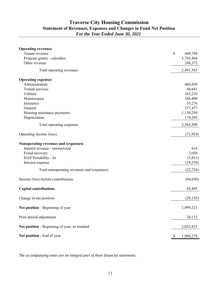## **Traverse City Housing Commission Statement of Revenues, Expenses and Changes in Fund Net Position** *For the Year Ended June 30, 2021*

| <b>Operating revenues</b>                     |              |           |
|-----------------------------------------------|--------------|-----------|
| Tenant revenue                                | \$           | 449,749   |
| Program grants - subsidies                    |              | 1,793,464 |
| Other revenue                                 |              | 248,372   |
| Total operating revenues                      |              | 2,491,585 |
| <b>Operating expenses</b>                     |              |           |
| Administration                                |              | 460,850   |
| Tenant services                               |              | 94,841    |
| Utilities                                     |              | 162,210   |
| Maintenance                                   |              | 348,400   |
| Insurance                                     |              | 35,276    |
| General                                       |              | 157,477   |
| Housing assistance payments                   |              | 1,130,250 |
| Depreciation                                  |              | 174,205   |
| Total operating expenses                      |              | 2,563,509 |
| Operating income (loss)                       |              | (71, 924) |
| Nonoperating revenues and (expenses)          |              |           |
| Interest revenue - unrestricted               |              | 614       |
| Fraud recovery                                |              | 2,030     |
| HAP Portability - In                          |              | (5,831)   |
| Interest expense                              |              | (19, 539) |
| Total nonoperating revenues and (expenses)    |              | (22, 726) |
| Income (loss) before contributions            |              | (94, 650) |
| <b>Capital contributions</b>                  |              | 65,495    |
| Change in net position                        |              | (29, 155) |
| Net position - Beginning of year              |              | 1,999,321 |
| Prior period adjustment                       |              | 24,112    |
| Net position - Beginning of year, as restated |              | 2,023,433 |
| Net position - End of year                    | <sup>8</sup> | 1,994,278 |

*The accompanying notes are an integral part of these financial statements.*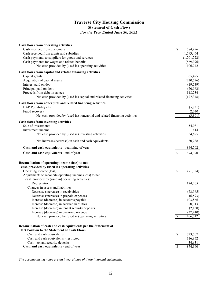## **Traverse City Housing Commission Statement of Cash Flows** *For the Year Ended June 30, 2021*

| Cash flows from operating activities                                                                                   |              |             |
|------------------------------------------------------------------------------------------------------------------------|--------------|-------------|
| Cash received from customers                                                                                           | \$           | 584,996     |
| Cash received from grants and subsidies                                                                                |              | 1,793,464   |
| Cash payments to suppliers for goods and services                                                                      |              | (1,701,722) |
| Cash payments for wages and related benefits                                                                           |              | (569,996)   |
| Net cash provided by (used in) operating activities                                                                    |              | 106,742     |
| Cash flows from capital and related financing activities                                                               |              |             |
| Capital grants                                                                                                         |              | 65,495      |
| Acquisition of capital assets                                                                                          |              | (220, 576)  |
| Interest paid on debt                                                                                                  |              | (19, 539)   |
| Principal paid on debt                                                                                                 |              | (70, 962)   |
| Proceeds from debt issuances                                                                                           |              | 118,234     |
| Net cash provided by (used in) capital and related financing activities                                                |              | (127, 348)  |
| Cash flows from noncapital and related financing activities                                                            |              |             |
| HAP Portability - In                                                                                                   |              | (5,831)     |
| Fraud recovery                                                                                                         |              | 2,030       |
| Net cash provided by (used in) noncapital and related financing activities                                             |              | (3,801)     |
| Cash flows from investing activities                                                                                   |              |             |
| Sale of investments                                                                                                    |              | 54,081      |
| Investment income                                                                                                      |              | 614         |
| Net cash provided by (used in) investing activities                                                                    |              | 54,695      |
| Net increase (decrease) in cash and cash equivalents                                                                   |              | 30,288      |
| Cash and cash equivalents - beginning of year                                                                          |              | 844,702     |
| Cash and cash equivalents - end of year                                                                                | \$           | 874,990     |
| Reconciliation of operating income (loss) to net                                                                       |              |             |
| cash provided by (used in) operating activities                                                                        |              |             |
| Operating income (loss)                                                                                                | \$           | (71, 924)   |
| Adjustments to reconcile operating income (loss) to net                                                                |              |             |
| cash provided by (used in) operating activities:                                                                       |              |             |
| Depreciation                                                                                                           |              | 174,205     |
| Changes in assets and liabilities                                                                                      |              |             |
| Decrease (increase) in receivables                                                                                     |              | (73, 565)   |
| Decrease (increase) in prepaid expenses                                                                                |              | (6, 593)    |
| Increase (decrease) in accounts payable                                                                                |              | 103,866     |
| Increase (decrease) in accrued liabilities                                                                             |              | 20,313      |
| Increase (decrease) in tenant security deposits                                                                        |              | (2,150)     |
| Increase (decrease) in unearned revenue                                                                                |              | (37, 410)   |
| Net cash provided by (used in) operating activities                                                                    | $\mathbb{S}$ | 106,742     |
|                                                                                                                        |              |             |
| Reconciliation of cash and cash equivalents per the Statement of<br><b>Net Position to the Statement of Cash Flows</b> |              |             |
| Cash and cash equivalents                                                                                              | \$           | 723,507     |
| Cash and cash equivalents - restricted                                                                                 |              | 116,852     |
| Cash - tenant security deposits                                                                                        |              | 34,631      |
| Cash and cash equivalents - end of year                                                                                | \$           | 874,990     |
|                                                                                                                        |              |             |

*The accompanying notes are an integral part of these financial statements.*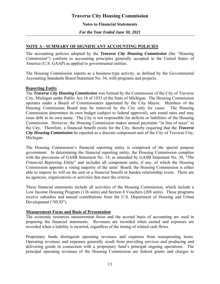## **Notes to Financial Statements**

*For the Year Ended June 30, 2021* 

## **NOTE A - SUMMARY OF SIGNIFICANT ACCOUNTING POLICIES**

The accounting policies adopted by the *Traverse City Housing Commission* (the "*Housing Commission*") conform to accounting principles generally accepted in the United States of America (U.S. GAAP) as applied to governmental entities.

The Housing Commission reports as a business-type activity, as defined by the Governmental Accounting Standards Board Statement No. 34, with programs and projects.

## **Reporting Entity**

The *Traverse City Housing Commission* was formed by the Commission of the City of Traverse City, Michigan under Public Act 18 of 1933 of the State of Michigan. The Housing Commission operates under a Board of Commissioners appointed by the City Mayor. Members of the Housing Commission Board may be removed by the City only for cause. The Housing Commission determines its own budget (subject to federal approval), sets rental rates and may issue debt in its own name. The City is not responsible for deficits or liabilities of the Housing Commission. However, the Housing Commission makes annual payments "in lieu of taxes" to the City. Therefore, a financial benefit exists for the City, thereby requiring that the *Traverse City Housing Commission* be reported as a discrete component unit of the City of Traverse City, Michigan.

The Housing Commission's financial reporting entity is comprised of the special purpose government. In determining the financial reporting entity, the Housing Commission complies with the provisions of GASB Statement No. 14, as amended by GASB Statement No. 39, "*The Financial Reporting Entity*" and includes all component units, if any, of which the Housing Commission appoints a voting majority of the units' Board; the Housing Commission is either able to impose its will on the unit or a financial benefit or burden relationship exists. There are no agencies, organizations or activities that meet the criteria.

These financial statements include all activities of the Housing Commission, which include a Low Income Housing Program (136 units) and Section 8 Vouchers (208 units). These programs receive subsidies and annual contributions from the U.S. Department of Housing and Urban Development ("HUD").

## **Measurement Focus and Basis of Presentation**

The economic resources measurement focus and the accrual basis of accounting are used in preparing the financial statements. Revenues are recorded when earned and expenses are recorded when a liability is incurred, regardless of the timing of related cash flows.

Proprietary funds distinguish operating revenues and expenses from nonoperating items. Operating revenues and expenses generally result from providing services and producing and delivering goods in connection with a proprietary fund's principal ongoing operations. The principal operating revenues of the Housing Commission are federal grants and charges to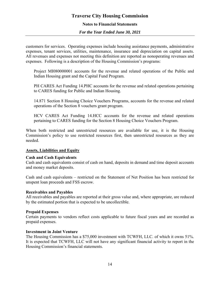## **Notes to Financial Statements**

## *For the Year Ended June 30, 2021*

customers for services. Operating expenses include housing assistance payments, administrative expenses, tenant services, utilities, maintenance, insurance and depreciation on capital assets. All revenues and expenses not meeting this definition are reported as nonoperating revenues and expenses. Following is a description of the Housing Commission's programs:

Project MI080000001 accounts for the revenue and related operations of the Public and Indian Housing grant and the Capital Fund Program.

PH CARES Act Funding 14.PHC accounts for the revenue and related operations pertaining to CARES funding for Public and Indian Housing.

14.871 Section 8 Housing Choice Vouchers Programs, accounts for the revenue and related operations of the Section 8 vouchers grant program.

HCV CARES Act Funding 14.HCC accounts for the revenue and related operations pertaining to CARES funding for the Section 8 Housing Choice Vouchers Program.

When both restricted and unrestricted resources are available for use, it is the Housing Commission's policy to use restricted resources first, then unrestricted resources as they are needed.

## **Assets, Liabilities and Equity**

## **Cash and Cash Equivalents**

Cash and cash equivalents consist of cash on hand, deposits in demand and time deposit accounts and money market deposits.

Cash and cash equivalents – restricted on the Statement of Net Position has been restricted for unspent loan proceeds and FSS escrow.

## **Receivables and Payables**

All receivables and payables are reported at their gross value and, where appropriate, are reduced by the estimated portion that is expected to be uncollectible.

## **Prepaid Expenses**

Certain payments to vendors reflect costs applicable to future fiscal years and are recorded as prepaid expenses.

## **Investment in Joint Venture**

The Housing Commission has a \$75,000 investment with TCWFH, LLC. of which it owns 51%. It is expected that TCWFH, LLC will not have any significant financial activity to report in the Housing Commission's financial statements.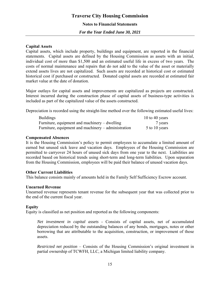## **Notes to Financial Statements**

*For the Year Ended June 30, 2021* 

## **Capital Assets**

Capital assets, which include property, buildings and equipment, are reported in the financial statements. Capital assets are defined by the Housing Commission as assets with an initial, individual cost of more than \$1,500 and an estimated useful life in excess of two years. The costs of normal maintenance and repairs that do not add to the value of the asset or materially extend assets lives are not capitalized. Such assets are recorded at historical cost or estimated historical cost if purchased or constructed. Donated capital assets are recorded at estimated fair market value at the date of donation.

Major outlays for capital assets and improvements are capitalized as projects are constructed. Interest incurred during the construction phase of capital assets of business-type activities is included as part of the capitalized value of the assets constructed.

Depreciation is recorded using the straight-line method over the following estimated useful lives:

| <b>Buildings</b>                                    | 10 to 40 years |
|-----------------------------------------------------|----------------|
| Furniture, equipment and machinery $-$ dwelling     | 7 years        |
| Furniture, equipment and machinery – administration | 5 to 10 years  |

## **Compensated Absences**

It is the Housing Commission's policy to permit employees to accumulate a limited amount of earned but unused sick leave and vacation days. Employees of the Housing Commission are permitted to carryover 24 hours of unused sick days from one year to the next. Liabilities are recorded based on historical trends using short-term and long-term liabilities. Upon separation from the Housing Commission, employees will be paid their balance of unused vacation days.

## **Other Current Liabilities**

This balance consists mainly of amounts held in the Family Self Sufficiency Escrow account.

## **Unearned Revenue**

Unearned revenue represents tenant revenue for the subsequent year that was collected prior to the end of the current fiscal year.

## **Equity**

Equity is classified as net position and reported as the following components:

*Net investment in capital assets* - Consists of capital assets, net of accumulated depreciation reduced by the outstanding balances of any bonds, mortgages, notes or other borrowing that are attributable to the acquisition, construction, or improvement of those assets.

*Restricted net position* – Consists of the Housing Commission's original investment in partial ownership of TCWFH, LLC, a Michigan limited liability company.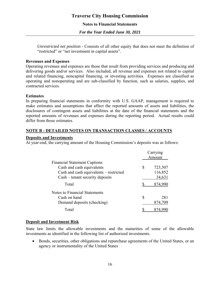**Notes to Financial Statements** 

*For the Year Ended June 30, 2021* 

*Unrestricted net position* - Consists of all other equity that does not meet the definition of "restricted" or "net investment in capital assets".

## **Revenues and Expenses**

Operating revenues and expenses are those that result from providing services and producing and delivering goods and/or services. Also included, all revenue and expenses not related to capital and related financing, noncapital financing, or investing activities. Expenses are classified as operating and nonoperating and are sub-classified by function, such as salaries, supplies, and contracted services.

## **Estimates**

In preparing financial statements in conformity with U.S. GAAP, management is required to make estimates and assumptions that affect the reported amounts of assets and liabilities, the disclosures of contingent assets and liabilities at the date of the financial statements and the reported amounts of revenues and expenses during the reporting period. Actual results could differ from those estimates.

## **NOTE B - DETAILED NOTES ON TRANSACTION CLASSES / ACCOUNTS**

## **Deposits and Investments**

At year-end, the carrying amount of the Housing Commission's deposits was as follows:

|                                        | Carrying |         |  |  |
|----------------------------------------|----------|---------|--|--|
|                                        |          | Amount  |  |  |
| <b>Financial Statement Captions</b>    |          |         |  |  |
| Cash and cash equivalents              | \$       | 723,507 |  |  |
| Cash and cash equivalents – restricted |          | 116,852 |  |  |
| Cash – tenant security deposits        |          | 34,631  |  |  |
| Total                                  |          | 874,990 |  |  |
| Notes to Financial Statements          |          |         |  |  |
| Cash on hand                           | \$       | 281     |  |  |
| Demand deposits (checking)             |          | 874,709 |  |  |
| Total                                  |          |         |  |  |

## **Deposit and Investment Risk**

State law limits the allowable investments and the maturities of some of the allowable investments as identified in the following list of authorized investments.

• Bonds, securities, other obligations and repurchase agreements of the United States, or an agency or instrumentality of the United States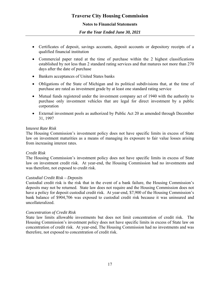## **Notes to Financial Statements**

## *For the Year Ended June 30, 2021*

- Certificates of deposit, savings accounts, deposit accounts or depository receipts of a qualified financial institution
- Commercial paper rated at the time of purchase within the 2 highest classifications established by not less than 2 standard rating services and that matures not more than 270 days after the date of purchase
- Bankers acceptances of United States banks
- Obligations of the State of Michigan and its political subdivisions that, at the time of purchase are rated as investment grade by at least one standard rating service
- Mutual funds registered under the investment company act of 1940 with the authority to purchase only investment vehicles that are legal for direct investment by a public corporation
- External investment pools as authorized by Public Act 20 as amended through December 31, 1997

## Inter*est Rate Risk*

The Housing Commission's investment policy does not have specific limits in excess of State law on investment maturities as a means of managing its exposure to fair value losses arising from increasing interest rates.

## *Credit Risk*

The Housing Commission's investment policy does not have specific limits in excess of State law on investment credit risk. At year-end, the Housing Commission had no investments and was therefore, not exposed to credit risk.

## *Custodial Credit Risk – Deposits*

Custodial credit risk is the risk that in the event of a bank failure, the Housing Commission's deposits may not be returned. State law does not require and the Housing Commission does not have a policy for deposit custodial credit risk. At year-end, \$7,900 of the Housing Commission's bank balance of \$904,706 was exposed to custodial credit risk because it was uninsured and uncollateralized.

## *Concentration of Credit Risk*

State law limits allowable investments but does not limit concentration of credit risk. The Housing Commission's investment policy does not have specific limits in excess of State law on concentration of credit risk. At year-end, The Housing Commission had no investments and was therefore, not exposed to concentration of credit risk.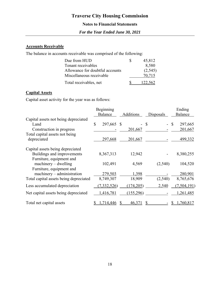## **Notes to Financial Statements**

*For the Year Ended June 30, 2021* 

## **Accounts Receivable**

The balance in accounts receivable was comprised of the following:

| Due from HUD                    | 45,812  |
|---------------------------------|---------|
| Tenant receivables              | 8,580   |
| Allowance for doubtful accounts | (2,545) |
| Miscellaneous receivable        | 70.715  |
| Total receivables, net          | 22.562  |

## **Capital Assets**

Capital asset activity for the year was as follows:

|                                        | Beginning     |    |           |              | Ending        |
|----------------------------------------|---------------|----|-----------|--------------|---------------|
|                                        | Balance       |    | Additions | Disposals    | Balance       |
| Capital assets not being depreciated   |               |    |           |              |               |
| Land                                   | \$<br>297,665 | -S |           | $\mathbb{S}$ | \$<br>297,665 |
| Construction in progress               |               |    | 201,667   |              | 201,667       |
| Total capital assets not being         |               |    |           |              |               |
| depreciated                            | 297,668       |    | 201,667   |              | 499,332       |
| Capital assets being depreciated       |               |    |           |              |               |
| Buildings and improvements             | 8,367,313     |    | 12,942    |              | 8,380,255     |
| Furniture, equipment and               |               |    |           |              |               |
| machinery – dwelling                   | 102,491       |    | 4,569     | (2,540)      | 104,520       |
| Furniture, equipment and               |               |    |           |              |               |
| $machinery - administration$           | 279,503       |    | 1,398     |              | 280,901       |
| Total capital assets being depreciated | 8,749,307     |    | 18,909    | (2,540)      | 8,765,676     |
| Less accumulated depreciation          | (7, 332, 526) |    | (174,205) | 2,540        | (7,504,191)   |
| Net capital assets being depreciated   | 1,416,781     |    | (155,296) |              | 1,261,485     |
| Total net capital assets               | 14,446        |    | 46,371    |              | .760,817      |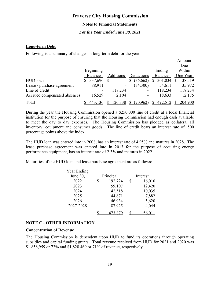## **Notes to Financial Statements**

*For the Year Ended June 30, 2021* 

## **Long-term Debt**

Following is a summary of changes in long-term debt for the year:

|                              |   |           |                  |               |               |              | Amount   |
|------------------------------|---|-----------|------------------|---------------|---------------|--------------|----------|
|                              |   |           |                  |               |               |              | Due      |
|                              |   | Beginning |                  |               | Ending        |              | Within   |
|                              |   | Balance   | <b>Additions</b> | Deductions    | Balance       |              | One Year |
| HUD loan                     | S | 337,696   | $\blacksquare$   | (36,662)<br>S | \$<br>301,034 | <sup>S</sup> | 38,519   |
| Lease / purchase agreement   |   | 88,911    |                  | (34,300)      | 54,611        |              | 35,972   |
| Line of credit               |   | ۰         | 118,234          | -             | 118,234       |              | 118,234  |
| Accrued compensated absences |   | 16,529    | 2,104            |               | 18,633        |              | 12,175   |
| Total                        |   | 443,136   | 120,338          | 70.962        | 492,512       |              | 204,900  |

During the year the Housing Commission opened a \$250,000 line of credit at a local financial institution for the purpose of ensuring that the Housing Commission had enough cash available to meet the day to day expenses. The Housing Commission has pledged as collateral all inventory, equipment and consumer goods. The line of credit bears an interest rate of .500 percentage points above the index.

The HUD loan was entered into in 2008, has an interest rate of 4.95% and matures in 2028. The lease purchase agreement was entered into in 2013 for the purpose of acquiring energy performance equipment, has an interest rate of 2.3% and matures in 2022.

Maturities of the HUD loan and lease purchase agreement are as follows:

| Year Ending |    |           |    |        |  |          |
|-------------|----|-----------|----|--------|--|----------|
| June 30,    |    | Principal |    |        |  | Interest |
| 2022        | \$ | 192,724   | \$ | 16,010 |  |          |
| 2023        |    | 59,107    |    | 12,420 |  |          |
| 2024        |    | 42,518    |    | 10,035 |  |          |
| 2025        |    | 44,671    |    | 7,882  |  |          |
| 2026        |    | 46,934    |    | 5,620  |  |          |
| 2027-2028   |    | 87,925    |    | 4,044  |  |          |
|             |    |           |    | 56,011 |  |          |

## **NOTE C - OTHER INFORMATION**

## **Concentration of Revenue**

The Housing Commission is dependent upon HUD to fund its operations through operating subsidies and capital funding grants. Total revenue received from HUD for 2021 and 2020 was \$1,858,959 or 73% and \$1,828,469 or 71% of revenue, respectively.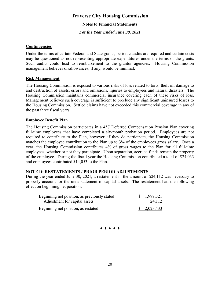**Notes to Financial Statements** 

*For the Year Ended June 30, 2021* 

## **Contingencies**

Under the terms of certain Federal and State grants, periodic audits are required and certain costs may be questioned as not representing appropriate expenditures under the terms of the grants. Such audits could lead to reimbursement to the grantor agencies. Housing Commission management believes disallowances, if any, would be minimal.

## **Risk Management**

The Housing Commission is exposed to various risks of loss related to torts, theft of, damage to and destruction of assets, errors and omissions, injuries to employees and natural disasters. The Housing Commission maintains commercial insurance covering each of these risks of loss. Management believes such coverage is sufficient to preclude any significant uninsured losses to the Housing Commission. Settled claims have not exceeded this commercial coverage in any of the past three fiscal years.

## **Employee Benefit Plan**

The Housing Commission participates in a 457 Deferred Compensation Pension Plan covering full-time employees that have completed a six-month probation period. Employees are not required to contribute to the Plan, however, if they do participate, the Housing Commission matches the employee contribution to the Plan up to 3% of the employees gross salary. Once a year, the Housing Commission contributes 4% of gross wages to the Plan for all full-time employees, whether or not they participate. Upon separation, accrued funds remain the property of the employee. During the fiscal year the Housing Commission contributed a total of \$24,033 and employees contributed \$14,053 to the Plan.

## **NOTE D: RESTATEMENTS / PRIOR PERIOD ADJUSTMENTS**

During the year ended June 30, 2021, a restatement in the amount of \$24,112 was necessary to properly account for the understatement of capital assets. The restatement had the following effect on beginning net position:

| Beginning net position, as previously stated<br>Adjustment for capital assets | \$1,999,321<br>24,112     |
|-------------------------------------------------------------------------------|---------------------------|
| Beginning net position, as restated                                           | $\frac{1}{2}$ , 2,023,433 |

♦ ♦ ♦ ♦ ♦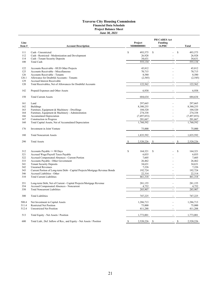#### **Traverse City Housing Commission Financial Data Schedule Project Balance Sheet** *June 30, 2021*

| Line<br>Item# | <b>Account Description</b>                                                           | Project<br>MI080000001   | <b>PH CARES Act</b><br><b>Funding</b><br><b>14.PHC</b> |             | Total         |
|---------------|--------------------------------------------------------------------------------------|--------------------------|--------------------------------------------------------|-------------|---------------|
|               |                                                                                      |                          |                                                        |             |               |
| 111           | Cash - Unrestricted                                                                  | \$<br>493,575            | $\mathbf S$                                            | \$          | 493,575       |
| 112           | Cash - Restricted - Modernization and Development                                    | 26,928                   |                                                        |             | 26,928        |
| 114           | Cash - Tenant Security Deposits                                                      | 34,631                   |                                                        |             | 34,631        |
| 100           | Total Cash                                                                           | 555,134                  | $\overline{a}$                                         |             | 555,134       |
| 122           | Accounts Receivable - HUD Other Projects                                             | 45,812                   |                                                        |             | 45,812        |
| 125           | Accounts Receivable - Miscellaneous                                                  | 70,715                   |                                                        |             | 70,715        |
| 126           | Accounts Receivable - Tenants                                                        | 8,580                    |                                                        |             | 8,580         |
| 126.1         | Allowance for Doubtful Accounts - Tenants                                            | (2,545)                  |                                                        |             | (2,545)       |
| 129           | Accrued Interest Receivable                                                          |                          |                                                        |             |               |
| 120           | Total Receivables, Net of Allowances for Doubtful Accounts                           | 122,562                  | $\overline{a}$                                         |             | 122,562       |
| 142           | Prepaid Expenses and Other Assets                                                    | 6,938                    |                                                        |             | 6,938         |
| 150           | <b>Total Current Assets</b>                                                          | 684,634                  |                                                        |             | 684,634       |
| 161           | Land                                                                                 | 297,665                  |                                                        |             | 297,665       |
| 162           | <b>Buildings</b>                                                                     | 8,380,255                |                                                        |             | 8,380,255     |
| 163           | Furniture, Equipment & Machinery - Dwellings                                         | 104,520                  |                                                        |             | 104,520       |
| 164           | Furniture, Equipment & Machinery - Administration                                    | 274,338                  |                                                        |             | 274,338       |
| 166           | <b>Accumulated Depreciation</b>                                                      | (7, 497, 853)            |                                                        |             | (7, 497, 853) |
| 167           | Construction in Progress                                                             | 201,667                  |                                                        |             | 201,667       |
| 160           | Total Capital Assets, Net of Accumulated Depreciation                                | 1,760,592                |                                                        |             | 1,760,592     |
| 176           | Investment in Joint Venture                                                          | 75,000                   |                                                        |             | 75,000        |
| 180           | <b>Total Noncurrent Assets</b>                                                       | 1,835,592                |                                                        |             | 1,835,592     |
| 290           | <b>Total Assets</b>                                                                  | \$<br>2,520,226          | S                                                      | $\mathbf S$ | 2,520,226     |
| 312           | Accounts Payable <= 90 Days                                                          | \$<br>164,321            | $\mathbf S$                                            | \$          | 164,321       |
| 321           |                                                                                      | 6,035                    |                                                        |             | 6,035         |
| 322           | Accrued Wage/Payroll Taxes Payable<br>Accrued Compensated Absences - Current Portion | 7,605                    |                                                        |             | 7,605         |
| 333           | Accounts Payable - Other Government                                                  | 26,462                   |                                                        |             | 26,462        |
| 341           | <b>Tenant Security Deposits</b>                                                      | 34,631                   |                                                        |             | 34,631        |
| 342           | <b>Unearned Revenues</b>                                                             | 7,226                    |                                                        |             | 7,226         |
| 343           | Current Portion of Long-term Debt - Capital Projects/Mortgage Revenue Bonds          | 192,724                  |                                                        |             | 192,724       |
| 346           | Accrued Liabilities - Other                                                          | 22,314                   |                                                        |             | 22,314        |
| 310           | <b>Total Current Liabilities</b>                                                     | 461,318                  | $\overline{\phantom{a}}$                               |             | 461,318       |
|               |                                                                                      |                          |                                                        |             |               |
| 351           | Long-term Debt, Net of Current - Capital Projects/Mortgage Revenue                   | 281,155                  |                                                        |             | 281,155       |
| 354           | Accrued Compensated Absences - Noncurrent                                            | 4,752                    |                                                        |             | 4,752         |
| 350           | <b>Total Noncurrent Liabilities</b>                                                  | 285,907                  | $\overline{a}$                                         |             | 285,907       |
| 300           | <b>Total Liabilities</b>                                                             | 747,225                  |                                                        |             | 747,225       |
| 508.4         | Net Investment in Capital Assets                                                     | 1,286,713                |                                                        |             | 1,286,713     |
| 511.4         | <b>Restricted Net Position</b>                                                       | 75,000                   |                                                        |             | 75,000        |
| 512.4         | Unrestricted Net Position                                                            | 411,288                  |                                                        |             | 411,288       |
|               |                                                                                      |                          |                                                        |             |               |
| 513           | Total Equity - Net Assets / Position                                                 | 1,773,001                |                                                        |             | 1,773,001     |
| 600           | Total Liab., Def. Inflow of Res., and Equity - Net Assets / Position                 | $\mathbf S$<br>2,520,226 | <sup>\$</sup>                                          | \$          | 2,520,226     |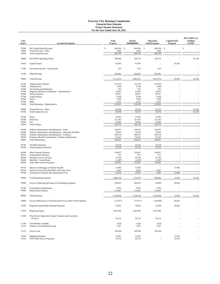#### **Traverse City Housing Commission Financial Data Schedule Project Income Statement** *For the Year Ended June 30, 2021*

| Line<br>Item # | <b>Account Description</b>                                                                 |   | Total<br>Projects  | Project<br>MI080000001 | Operating<br><b>Fund Program</b> | <b>Capital Fund</b><br>Program | <b>PH CARES Act</b><br>Funding<br>14.PHC |
|----------------|--------------------------------------------------------------------------------------------|---|--------------------|------------------------|----------------------------------|--------------------------------|------------------------------------------|
| 70300          | Net Tenant Rental Revenue                                                                  | s | 448,264            | 448,264<br>-S          | s<br>448,264                     | \$<br>÷.                       | <sup>\$</sup>                            |
| 70400          | Tenant Revenue - Other                                                                     |   | 1,485              | 1,485                  | 1,485                            |                                |                                          |
| 70500          | <b>Total Tenant Revenue</b>                                                                |   | 449,749            | 449,749                | 449,749                          |                                |                                          |
| 70600          | HUD PHA Operating Grants                                                                   |   | 360,880            | 328,732                | 328,732                          |                                | 32,148                                   |
| 70610          | Capital Grants                                                                             |   | 65,495             | 65,495                 |                                  | 65,495                         |                                          |
| 71100          | Investment Income - Unrestricted                                                           |   | 614                | 614                    | 614                              |                                |                                          |
| 71500          | Other Revenue                                                                              |   | 236,481            | 236,481                | 236,481                          |                                |                                          |
| 70000          | <b>Total Revenue</b>                                                                       |   | 1,113,219          | 1,081,071              | 1,015,576                        | 65,495                         | 32,148                                   |
| 91100<br>91200 | <b>Administrative Salaries</b><br><b>Auditing Fees</b>                                     |   | 121,524<br>3,100   | 121,524<br>3,100       | 121,524<br>3,100                 |                                |                                          |
| 91400          | Advertising and Marketing                                                                  |   | 921                | 921                    | 921                              |                                |                                          |
| 91500          | Employee Benefit Contributions - Administrative                                            |   | 23,047             | 23,047                 | 23,047                           |                                |                                          |
| 91600          | Office Expenses                                                                            |   | 40,937             | 40,937                 | 40,937                           |                                |                                          |
| 91700          | Legal Expense                                                                              |   | 6,188              | 6,188                  | 6,188                            |                                |                                          |
| 91800<br>91900 | Travel<br>Other                                                                            |   | 7,869<br>6,797     | 7,869<br>6,797         | 7,869<br>6,797                   |                                |                                          |
| 91000          | Total Operating - Administrative                                                           |   | 210,383            | 210,383                | 210,383                          |                                | $\overline{\phantom{a}}$                 |
|                |                                                                                            |   |                    |                        |                                  |                                |                                          |
| 92400<br>92500 | Tenant Services - Other<br><b>Total Tenant Services</b>                                    |   | 84,700<br>84,700   | 52,552<br>52,552       | 52,552<br>52,552                 | $\sim$                         | 32,148<br>32,148                         |
| 93100          | Water                                                                                      |   | 23,963             | 23,963                 | 23,963                           |                                |                                          |
| 93200          | Electricity                                                                                |   | 121,382            | 121,382                | 121.382                          |                                |                                          |
| 93300          | Gas                                                                                        |   | 16,865             | 16,865                 | 16,865                           |                                |                                          |
| 93000          | <b>Total Utilities</b>                                                                     |   | 162,210            | 162,210                | 162,210                          |                                | $\sim$                                   |
| 94100          | Ordinary Maintenance and Operations - Labor                                                |   | 164,437            | 164,437                | 164,437                          |                                |                                          |
| 94200          | Ordinary Maintenance and Operations - Materials and Other                                  |   | 19,459             | 19,459                 | 19,459                           |                                |                                          |
| 94300          | Ordinary Maintenance and Operations - Contracts                                            |   | 100,314            | 100,314                | 100,314                          |                                |                                          |
| 94500<br>94000 | Employee Benefit Contributions - Ordinary Maintenance<br>Total Maintenance                 |   | 54,427<br>338,637  | 54,427<br>338,637      | 54,427<br>338,637                | ÷,                             | $\sim$                                   |
|                |                                                                                            |   |                    |                        |                                  |                                |                                          |
| 96140<br>96100 | All Other Insurance                                                                        |   | 35,276             | 35,276                 | 35,276<br>35,276                 |                                | $\sim$                                   |
|                | <b>Total Insurance Premiums</b>                                                            |   | 35,276             | 35,276                 |                                  |                                |                                          |
| 96200          | Other General Expenses                                                                     |   | 130,657            | 130,657                | 130,657                          |                                |                                          |
| 96210          | Compensated Absences                                                                       |   | 671                | 671                    | 671                              |                                |                                          |
| 96300          | Payments in Lieu of Taxes                                                                  |   | 25,740             | 25,740                 | 25,740                           |                                |                                          |
| 96400<br>96000 | Bad Debt - Tenant Rents<br>Total Other General Expenses                                    |   | (1,087)<br>155,981 | (1,087)<br>155,981     | (1,087)<br>155,981               |                                |                                          |
| 96710          |                                                                                            |   | 15,892             | 15,892                 |                                  | 15,892                         |                                          |
| 96720          | Interest on Mortgage (or Bonds) Payable<br>Interest on Notes Payable (Short and Long Term) |   | 3,647              | 3,647                  | 3,647                            |                                |                                          |
| 96700          | Total Interest Expense and Amortization Cost                                               |   | 19,539             | 19,539                 | 3,647                            | 15,892                         | ÷,                                       |
| 96900          | <b>Total Operating Expenses</b>                                                            |   | 1,006,726          | 974,578                | 958,686                          | 15,892                         | 32,148                                   |
| 97000          | Excess of Operating Revenue over Operating Expenses                                        |   | 106,493            | 106,493                | 56,890                           | 49,603                         |                                          |
| 97100          | <b>Extraordinary Maintenance</b>                                                           |   | 9,763              | 9,763                  | 9,763                            |                                |                                          |
| 97400          | Depreciation Expense                                                                       |   | 173,807            | 173,807                | 173,807                          |                                |                                          |
| 90000          | <b>Total Expenses</b>                                                                      |   | 1,190,296          | 1,158,148              | 1,142,256                        | 15,892                         | 32,148                                   |
| 10000          | Excess (Deficiency) of Total Revenue Over (Under) Total Expenses                           |   | (77, 077)          | (77, 077)              | (126, 680)                       | 49,603                         |                                          |
| 11020          | Required Annual Debt Principal Payments                                                    |   | 70,962             | 70,962                 | 34,300                           | 36,662                         |                                          |
| 11030          | <b>Beginning Equity</b>                                                                    |   | 1,825,966          | 1,825,966              | 1,825,966                        |                                |                                          |
| 11040          | Prior Period Adjustment, Equity Transfers and Correction<br>of Errors                      |   | 24,112             | 24,112                 | 24,112                           |                                |                                          |
| 11190<br>11210 | Unit Months Available<br>Number of Unit Months Leased                                      |   | 1,620<br>1,587     | 1,620<br>1,587         | 1,620<br>1,587                   |                                |                                          |
| 11270          | Excess Cash                                                                                |   | 109,560            | 109,560                | 109,560                          |                                |                                          |
| 11620<br>13510 | <b>Building Purchases</b><br>CFFP Debt Service Payments                                    |   | 12,941<br>52,554   | 12,941<br>52,554       | ÷,                               | 12,941<br>52,554               | $\sim$                                   |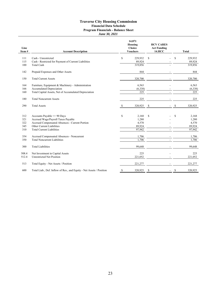#### **Traverse City Housing Commission Financial Data Schedule Program Financials - Balance Sheet**

*June 30, 2021*

| Line<br>Item# | <b>Account Description</b>                                                           |    | 14.871<br>Housing<br>Choice<br><b>Vouchers</b> | <b>HCV CARES</b><br><b>Act Funding</b><br><b>14.HCC</b> | <b>Total</b>   |
|---------------|--------------------------------------------------------------------------------------|----|------------------------------------------------|---------------------------------------------------------|----------------|
| 111           | Cash - Unrestricted                                                                  | \$ | 229,932                                        | \$                                                      | \$<br>229,932  |
| 115           | Cash - Restricted for Payment of Current Liabilities                                 |    | 89,924                                         |                                                         | 89,924         |
| 100           | <b>Total Cash</b>                                                                    |    | 319,856                                        |                                                         | 319,856        |
| 142           | Prepaid Expenses and Other Assets                                                    |    | 844                                            |                                                         | 844            |
| 150           | <b>Total Current Assets</b>                                                          |    | 320,700                                        |                                                         | 320,700        |
| 164           | Furniture, Equipment & Machinery - Administration                                    |    | 6,563                                          |                                                         | 6,563          |
| 166           | Accumulated Depreciation                                                             |    | (6,338)                                        |                                                         | (6,338)        |
| 160           | Total Capital Assets, Net of Accumulated Depreciation                                |    | 225                                            |                                                         | 225            |
| 180           | <b>Total Noncurrent Assets</b>                                                       |    | 225                                            |                                                         | 225            |
| 290           | <b>Total Assets</b>                                                                  | S  | 320,925                                        | \$                                                      | \$<br>320,925  |
|               |                                                                                      |    |                                                |                                                         |                |
| 312<br>321    | Accounts Payable $\leq$ 90 Days                                                      | \$ | 2,168                                          | \$                                                      | \$<br>2,168    |
| 322           | Accrued Wage/Payroll Taxes Payable<br>Accrued Compensated Absences - Current Portion |    | 1,280<br>4,570                                 |                                                         | 1,280<br>4,570 |
| 345           | Other Current Liabilities                                                            |    | 89,924                                         |                                                         | 89,924         |
| 310           | <b>Total Current Liabilities</b>                                                     |    | 97,942                                         |                                                         | 97,942         |
| 354           | Accrued Compensated Absences - Noncurrent                                            |    | 1,706                                          |                                                         | 1,706          |
| 350           | <b>Total Noncurrent Liabilities</b>                                                  |    | 1,706                                          |                                                         | 1,706          |
| 300           | <b>Total Liabilities</b>                                                             |    | 99,648                                         |                                                         | 99,648         |
| 508.4         | Net Investment in Capital Assets                                                     |    | 225                                            |                                                         | 225            |
| 512.4         | <b>Unrestricted Net Position</b>                                                     |    | 221,052                                        |                                                         | 221,052        |
| 513           | Total Equity - Net Assets / Position                                                 |    | 221,277                                        |                                                         | 221,277        |
| 600           | Total Liab., Def. Inflow of Res., and Equity - Net Assets / Position                 | \$ | 320,925                                        | \$                                                      | \$<br>320,925  |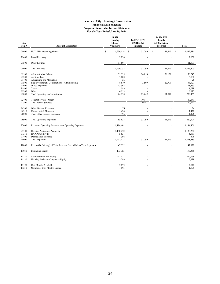**Financial Data Schedule**

**Program Financials - Income Statement** *For the Year Ended June 30, 2021*

| Line<br>Item#           | <b>Account Description</b>                                                          | 14.871<br>Housing<br>Choice<br><b>Vouchers</b> |               | <b>14.HCC HCV</b><br><b>CARES</b> Act<br>Funding |   | 14.896 PIH<br>Family<br>Self-Sufficiency<br>Program |               | <b>Total</b>           |
|-------------------------|-------------------------------------------------------------------------------------|------------------------------------------------|---------------|--------------------------------------------------|---|-----------------------------------------------------|---------------|------------------------|
| 70600                   | <b>HUD PHA Operating Grants</b>                                                     | \$<br>1,236,114                                | <sup>\$</sup> | 32,790                                           | S | 81,840                                              | <sup>\$</sup> | 1,432,584              |
| 71400                   | Fraud Recovery                                                                      | 2,030                                          |               |                                                  |   |                                                     |               | 2,030                  |
| 71500                   | Other Revenue                                                                       | 11,891                                         |               |                                                  |   |                                                     |               | 11,891                 |
| 70000                   | <b>Total Revenue</b>                                                                | 1,250,035                                      |               | 32,790                                           |   | 81,840                                              |               | 1,446,505              |
| 91100<br>91200<br>91400 | <b>Administrative Salaries</b><br><b>Auditing Fees</b><br>Advertising and Marketing | 31,935<br>3,000<br>26                          |               | 20,050                                           |   | 59,131                                              |               | 170,247<br>3,000<br>26 |
| 91500                   | Employee Benefit Contributions - Administrative                                     | 8,610                                          |               | 2,599                                            |   | 22,709                                              |               | 56,627                 |
| 91600                   | Office Expenses                                                                     | 13,365                                         |               |                                                  |   |                                                     |               | 13,365                 |
| 91800                   | Travel                                                                              | 1,089                                          |               |                                                  |   |                                                     |               | 1,089                  |
| 91900                   | Other                                                                               | 6,113                                          |               |                                                  |   |                                                     |               | 6,113                  |
| 91000                   | Total Operating - Administrative                                                    | 64,138                                         |               | 22,649                                           |   | 81,840                                              |               | 250,467                |
| 92400                   | Tenant Services - Other                                                             |                                                |               | 10,141                                           |   | ٠                                                   |               | 10,141                 |
| 92500                   | <b>Total Tenant Services</b>                                                        |                                                |               | 10,141                                           |   | ÷                                                   |               | 10,141                 |
| 96200                   | Other General Expenses                                                              | 76                                             |               |                                                  |   |                                                     |               | 76                     |
| 96210                   | Compensated Absences                                                                | 1,420                                          |               |                                                  |   |                                                     |               | 1,420                  |
| 96000                   | <b>Total Other General Expenses</b>                                                 | 1,496                                          |               |                                                  |   |                                                     |               | 1,496                  |
| 96900                   | <b>Total Operating Expenses</b>                                                     | 65,634                                         |               | 32,790                                           |   | 81,840                                              |               | 262,104                |
| 97000                   | Excess of Operating Revenue over Operating Expenses                                 | 1,184,401                                      |               |                                                  |   |                                                     |               | 1,184,401              |
| 97300                   | Housing Assistance Payments                                                         | 1,130,250                                      |               |                                                  |   |                                                     |               | 1,130,250              |
| 97350                   | HAP Portability-In                                                                  | 5,831                                          |               |                                                  |   |                                                     |               | 5,831                  |
| 97400                   | Depreciation Expense                                                                | 398                                            |               | 32,790                                           |   | 81,840                                              |               | 398<br>1,398,583       |
| 90000                   | <b>Total Expenses</b>                                                               | 1,202,113                                      |               |                                                  |   |                                                     |               |                        |
| 10000                   | Excess (Deficiency) of Total Revenue Over (Under) Total Expenses                    | 47,922                                         |               |                                                  |   |                                                     |               | 47,922                 |
| 11030                   | <b>Beginning Equity</b>                                                             | 173,355                                        |               |                                                  |   |                                                     |               | 173,355                |
| 11170                   | Administrative Fee Equity                                                           | 217,978                                        |               |                                                  |   |                                                     |               | 217,978                |
| 11180                   | Housing Assistance Payments Equity                                                  | 3,299                                          |               |                                                  |   |                                                     |               | 3,299                  |
| 11190<br>11210          | Unit Months Available<br>Number of Unit Months Leased                               | 2,072<br>1,895                                 |               |                                                  |   |                                                     |               | 2,072<br>1,895         |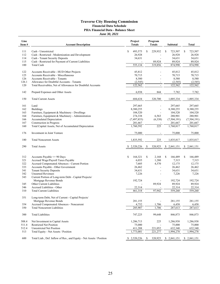#### **Traverse City Housing Commission Financial Data Schedule**

**PHA Financial Data - Balance Sheet**

*June 30, 2021*

| Line  |                                                                      | Project       |                          | Program                  |               |               |
|-------|----------------------------------------------------------------------|---------------|--------------------------|--------------------------|---------------|---------------|
| Item# | <b>Account Description</b>                                           | <b>Totals</b> |                          | <b>Totals</b>            | Subtotal      | Total         |
| 111   | Cash - Unrestricted                                                  | \$<br>493.575 | \$                       |                          | \$<br>723,507 | 723,507<br>\$ |
| 112   |                                                                      |               |                          | 229,932                  |               |               |
|       | Cash - Restricted - Modernization and Development                    | 26,928        |                          |                          | 26,928        | 26,928        |
| 114   | Cash - Tenant Security Deposits                                      | 34,631        |                          |                          | 34,631        | 34,631        |
| 115   | Cash - Restricted for Payment of Current Liabilities                 | 555,134       | $\overline{\phantom{a}}$ | 89,924                   | 89,924        | 89,924        |
| 100   | Total Cash                                                           |               |                          | 319,856                  | 874,990       | 874,990       |
| 122   | Accounts Receivable - HUD Other Projects                             | 45,812        |                          |                          | 45,812        | 45,812        |
| 125   | Accounts Receivable - Miscellaneous                                  | 70,715        |                          |                          | 70,715        | 70,715        |
| 126   | Accounts Receivable - Tenants                                        | 8,580         |                          |                          | 8,580         | 8,580         |
| 126.1 | Allowance for Doubtful Accounts - Tenants                            | (2, 545)      |                          |                          | (2, 545)      | (2, 545)      |
| 120   | Total Receivables, Net of Allowances for Doubtful Accounts           | 122,562       |                          | $\frac{1}{2}$            | 122,562       | 122,562       |
|       |                                                                      |               |                          |                          |               |               |
| 142   | Prepaid Expenses and Other Assets                                    | 6,938         |                          | 844                      | 7,782         | 7,782         |
| 150   | <b>Total Current Assets</b>                                          | 684,634       |                          | 320,700                  | 1,005,334     | 1,005,334     |
| 161   | Land                                                                 | 297,665       |                          |                          | 297,665       | 297,665       |
| 162   | <b>Buildings</b>                                                     | 8,380,255     |                          | $\overline{a}$           | 8,380,255     | 8,380,255     |
| 163   | Furniture, Equipment & Machinery - Dwellings                         | 104,520       |                          | $\overline{a}$           | 104,520       | 104,520       |
| 164   | Furniture, Equipment & Machinery - Administration                    | 274,338       |                          | 6,563                    | 280,901       | 280,901       |
| 166   | <b>Accumulated Depreciation</b>                                      | (7, 497, 853) |                          | (6,338)                  | (7,504,191)   | (7,504,191)   |
| 167   | <b>Construction</b> in Progress                                      | 201,667       |                          |                          | 201,667       | 201,667       |
| 160   | Total Capital Assets, Net of Accumulated Depreciation                | 1,760,592     |                          | 225                      | 1,760,817     | 1,760,817     |
| 176   | Investment in Joint Venture                                          | 75,000        |                          |                          | 75,000        | 75,000        |
|       |                                                                      |               |                          |                          |               |               |
| 180   | <b>Total Noncurrent Assets</b>                                       | 1,835,592     |                          | 225                      | 1,835,817     | 1,835,817     |
| 290   | <b>Total Assets</b>                                                  | \$2,520,226   | \$                       | 320,925                  | \$2,841,151   | \$2,841,151   |
|       |                                                                      |               | \$                       |                          |               |               |
| 312   | Accounts Payable $\leq$ 90 Days                                      | \$<br>164,321 |                          | 2,168                    | \$<br>166,489 | \$<br>166,489 |
| 321   | Accrued Wage/Payroll Taxes Payable                                   | 6,035         |                          | 1,280                    | 7,315         | 7,315         |
| 322   | Accrued Compensated Absences - Current Portion                       | 7,605         |                          | 4,570                    | 12,175        | 12,175        |
| 333   | Accounts Payable - Other Government                                  | 26,462        |                          | $\overline{a}$           | 26,462        | 26,462        |
| 341   | <b>Tenant Security Deposits</b>                                      | 34,631        |                          | $\overline{\phantom{a}}$ | 34,631        | 34,631        |
| 342   | <b>Unearned Revenues</b>                                             | 7,226         |                          | $\overline{a}$           | 7,226         | 7,226         |
| 343   | Current Portion of Long-term Debt - Capital Projects/                |               |                          |                          |               |               |
|       | Mortgage Revenue Bonds                                               | 192,724       |                          |                          | 192,724       | 192,724       |
| 345   | Other Current Liabilities                                            |               |                          | 89,924                   | 89,924        | 89,924        |
| 346   | Accrued Liabilities - Other                                          | 22,314        |                          |                          | 22,314        | 22,314        |
| 310   | <b>Total Current Liabilities</b>                                     | 461,318       |                          | 97,942                   | 559,260       | 559,260       |
| 351   | Long-term Debt, Net of Current - Capital Projects/                   |               |                          |                          |               |               |
|       | Mortgage Revenue Bonds                                               | 281,155       |                          |                          | 281,155       | 281,155       |
| 354   | Accrued Compensated Absences - Noncurrent                            | 4,752         |                          | 1,706                    | 6,458         | 6,458         |
| 350   | <b>Total Noncurrent Liabilities</b>                                  | 285,907       |                          | 1,706                    | 287,613       | 287,613       |
|       |                                                                      |               |                          |                          |               |               |
| 300   | <b>Total Liabilities</b>                                             | 747,225       |                          | 99,648                   | 846,873       | 846,873       |
| 508.4 | Net Investment in Capital Assets                                     | 1,286,713     |                          | 225                      | 1,286,938     | 1,286,938     |
| 511.4 | <b>Restricted Net Position</b>                                       | 75,000        |                          |                          | 75,000        | 75,000        |
| 512.4 | Unrestricted Net Position                                            | 411,288       |                          | 221,052                  | 632,340       | 632,340       |
| 513   | Total Equity - Net Assets / Position                                 | 1,773,001     |                          | 221,277                  | 1,994,278     | 1,994,278     |
| 600   | Total Liab., Def. Inflow of Res., and Equity - Net Assets / Position | \$2,520,226   | -S                       | 320,925                  | \$2,841,151   | \$2,841,151   |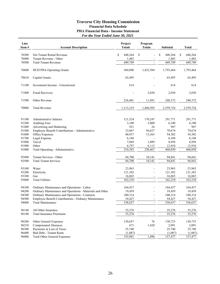#### **Traverse City Housing Commission Financial Data Schedule PHA Financial Data - Income Statement** *For the Year Ended June 30, 2021*

| Line<br>Item# | <b>Account Description</b>                                                                               | Project<br><b>Totals</b> | Program<br><b>Totals</b> | <b>Subtotal</b>   | <b>Total</b>  |
|---------------|----------------------------------------------------------------------------------------------------------|--------------------------|--------------------------|-------------------|---------------|
| 70300         | Net Tenant Rental Revenue                                                                                | \$<br>448,264            | \$                       | \$<br>448,264     | \$<br>448,264 |
| 70400         | Tenant Revenue - Other                                                                                   | 1,485                    |                          | 1,485             | 1,485         |
| 70500         | <b>Total Tenant Revenue</b>                                                                              | 449,749                  | $\overline{\phantom{a}}$ | 449,749           | 449,749       |
|               |                                                                                                          |                          |                          |                   |               |
| 70600         | HUD PHA Operating Grants                                                                                 | 360,880                  | 1,432,584                | 1,793,464         | 1,793,464     |
| 70610         | Capital Grants                                                                                           | 65,495                   |                          | 65,495            | 65,495        |
| 71100         | Investment Income - Unrestricted                                                                         | 614                      |                          | 614               | 614           |
| 71400         | Fraud Recovery                                                                                           |                          | 2,030                    | 2,030             | 2,030         |
| 71500         | Other Revenue                                                                                            | 236,481                  | 11,891                   | 248,372           | 248,372       |
| 70000         | <b>Total Revenue</b>                                                                                     | 1,113,219                | 1,446,505                | 2,559,724         | 2,559,724     |
| 91100         | Administrative Salaries                                                                                  | 121,524                  | 170,247                  | 291,771           | 291,771       |
| 91200         | <b>Auditing Fees</b>                                                                                     | 3,100                    | 3,000                    | 6,100             | 6,100         |
| 91400         | Advertising and Marketing                                                                                | 921                      | 26                       | 947               | 947           |
| 91500         | Employee Benefit Contributions - Administrative                                                          | 23,047                   | 56,627                   | 79,674            | 79,674        |
| 91600         | Office Expenses                                                                                          | 40,937                   | 13,365                   | 54,302            | 54,302        |
| 91700         | Legal Expense                                                                                            | 6,188                    |                          | 6,188             | 6,188         |
| 91800         | Travel                                                                                                   | 7,869                    | 1,089                    | 8,958             | 8,958         |
| 91900         | Other                                                                                                    | 6,797                    | 6,113                    | 12,910            | 12,910        |
| 91000         | Total Operating - Administrative                                                                         | 210,383                  | 250,467                  | 460,850           | 460,850       |
|               |                                                                                                          |                          |                          |                   |               |
| 92400         | Tenant Services - Other                                                                                  | 84,700                   | 10,141                   | 94,841            | 94,841        |
| 92500         | <b>Total Tenant Services</b>                                                                             | 84,700                   | 10,141                   | 94,841            | 94,841        |
|               |                                                                                                          |                          |                          |                   |               |
| 93100         | Water                                                                                                    | 23,963                   |                          | 23,963            | 23,963        |
| 93200         | Electricity                                                                                              | 121,382                  | $\overline{a}$           | 121,382           | 121,382       |
| 93300         | Gas                                                                                                      | 16,865                   | $\overline{\phantom{a}}$ | 16,865            | 16,865        |
| 93000         | <b>Total Utilities</b>                                                                                   | 162,210                  | $\blacksquare$           | 162,210           | 162,210       |
|               |                                                                                                          |                          |                          |                   |               |
| 94100         | Ordinary Maintenance and Operations - Labor                                                              | 164,437                  |                          | 164,437           | 164,437       |
| 94200         | Ordinary Maintenance and Operations - Materials and Other                                                | 19,459                   |                          | 19,459            | 19,459        |
| 94300         | Ordinary Maintenance and Operations - Contracts<br>Employee Benefit Contributions - Ordinary Maintenance | 100,314                  |                          | 100,314           | 100,314       |
| 94500         |                                                                                                          | 54,427                   |                          | 54,427<br>338,637 | 54,427        |
| 94000         | <b>Total Maintenance</b>                                                                                 | 338,637                  |                          |                   | 338,637       |
| 96140         | All Other Insurance                                                                                      | 35,276                   |                          | 35,276            | 35,276        |
| 96100         | <b>Total Insurance Premiums</b>                                                                          | 35,276                   | $\overline{\phantom{a}}$ | 35,276            | 35,276        |
|               |                                                                                                          |                          |                          |                   |               |
| 96200         | Other General Expenses                                                                                   | 130,657                  | 76                       | 130,733           | 130,733       |
| 96210         | <b>Compensated Absences</b>                                                                              | 671                      | 1,420                    | 2,091             | 2,091         |
| 96300         | Payments in Lieu of Taxes                                                                                | 25,740                   |                          | 25,740            | 25,740        |
| 96400         | Bad Debt - Tenant Rents                                                                                  | (1,087)                  |                          | (1,087)           | (1,087)       |
| 96000         | <b>Total Other General Expenses</b>                                                                      | 155,981                  | 1,496                    | 157,477           | 157,477       |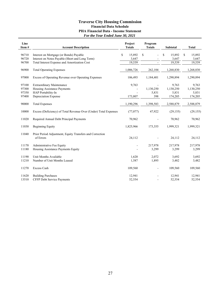#### **Traverse City Housing Commission Financial Data Schedule PHA Financial Data - Income Statement** *For the Year Ended June 30, 2021*

| Line<br>Item# | <b>Account Description</b>                                       | Project<br><b>Totals</b> | Program<br><b>Totals</b> | <b>Subtotal</b> | <b>Total</b>          |
|---------------|------------------------------------------------------------------|--------------------------|--------------------------|-----------------|-----------------------|
| 96710         | Interest on Mortgage (or Bonds) Payable                          | \$<br>15,892             | \$                       | S<br>15,892     | $\mathbf S$<br>15,892 |
| 96720         | Interest on Notes Payable (Short and Long Term)                  | 3,647                    |                          | 3,647           | 3,647                 |
| 96700         | Total Interest Expense and Amortization Cost                     | 19,539                   |                          | 19,539          | 19,539                |
|               |                                                                  |                          |                          |                 |                       |
| 96900         | <b>Total Operating Expenses</b>                                  | 1,006,726                | 262,104                  | 1,268,830       | 1,268,830             |
| 97000         | Excess of Operating Revenue over Operating Expenses              | 106,493                  | 1,184,401                | 1,290,894       | 1,290,894             |
| 97100         | <b>Extraordinary Maintenance</b>                                 | 9,763                    |                          | 9,763           | 9,763                 |
| 97300         | Housing Assistance Payments                                      |                          | 1,130,250                | 1,130,250       | 1,130,250             |
| 97350         | HAP Portability-In                                               |                          | 5,831                    | 5,831           | 5,831                 |
| 97400         | Depreciation Expense                                             | 173,807                  | 398                      | 174,205         | 174,205               |
| 90000         | <b>Total Expenses</b>                                            | 1,190,296                | 1,398,583                | 2,588,879       | 2,588,879             |
| 10000         | Excess (Deficiency) of Total Revenue Over (Under) Total Expenses | (77,077)                 | 47,922                   | (29, 155)       | (29, 155)             |
| 11020         | Required Annual Debt Principal Payments                          | 70,962                   |                          | 70,962          | 70,962                |
| 11030         | <b>Beginning Equity</b>                                          | 1,825,966                | 173,355                  | 1,999,321       | 1,999,321             |
| 11040         | Prior Period Adjustment, Equity Transfers and Correction         |                          |                          |                 |                       |
|               | of Errors                                                        | 24,112                   |                          | 24,112          | 24,112                |
| 11170         | Administrative Fee Equity                                        | $\overline{a}$           | 217,978                  | 217,978         | 217,978               |
| 11180         | Housing Assistance Payments Equity                               |                          | 3,299                    | 3,299           | 3,299                 |
| 11190         | Unit Months Available                                            | 1,620                    | 2,072                    | 3,692           | 3,692                 |
| 11210         | Number of Unit Months Leased                                     | 1,587                    | 1,895                    | 3,482           | 3,482                 |
|               |                                                                  |                          |                          |                 |                       |
| 11270         | Excess Cash                                                      | 109,560                  | L,                       | 109,560         | 109,560               |
| 11620         | <b>Building Purchases</b>                                        | 12,941                   |                          | 12,941          | 12,941                |
| 13510         | CFFP Debt Service Payments                                       | 52,554                   | $\overline{a}$           | 52,554          | 52,554                |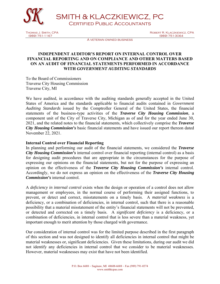

SMITH & KLACZKIEWICZ, PC Certified Public Accountants

Thomas J. Smith, CPA Robert R. Klaczkiewicz, CPA Robert R. Klaczkiewicz, CPA Robert R. Klaczkiewicz, CPA Robert R. Klaczkiewicz, CPA (989) (989) 751-3064

A veteran owned business

## **INDEPENDENT AUDITOR'S REPORT ON INTERNAL CONTROL OVER FINANCIAL REPORTING AND ON COMPLIANCE AND OTHER MATTERS BASED ON AN AUDIT OF FINANCIAL STATEMENTS PERFORMED IN ACCORDANCE WITH** *GOVERNMENT AUDITING STANDARDS*

To the Board of Commissioners Traverse City Housing Commission Traverse City, MI

We have audited, in accordance with the auditing standards generally accepted in the United States of America and the standards applicable to financial audits contained in *Government Auditing Standards* issued by the Comptroller General of the United States, the financial statements of the business-type activities of the *Traverse City Housing Commission*, a component unit of the City of Traverse City, Michigan as of and for the year ended June 30, 2021, and the related notes to the financial statements, which collectively comprise the *Traverse City Housing Commission's* basic financial statements and have issued our report thereon dated November 22, 2021.

## **Internal Control over Financial Reporting**

In planning and performing our audit of the financial statements, we considered the *Traverse City Housing Commission's* internal control over financial reporting (internal control) as a basis for designing audit procedures that are appropriate in the circumstances for the purpose of expressing our opinions on the financial statements, but not for the purpose of expressing an opinion on the effectiveness of the *Traverse City Housing Commission's* internal control. Accordingly, we do not express an opinion on the effectiveness of the *Traverse City Housing Commission's* internal control.

A *deficiency in internal control* exists when the design or operation of a control does not allow management or employees, in the normal course of performing their assigned functions, to prevent, or detect and correct, misstatements on a timely basis. A *material weakness* is a deficiency, or a combination of deficiencies, in internal control, such that there is a reasonable possibility that a material misstatement of the entity's financial statements will not be prevented, or detected and corrected on a timely basis. A *significant deficiency* is a deficiency, or a combination of deficiencies, in internal control that is less severe than a material weakness, yet important enough to merit attention by those charged with governance.

Our consideration of internal control was for the limited purpose described in the first paragraph of this section and was not designed to identify all deficiencies in internal control that might be material weaknesses or, significant deficiencies. Given these limitations, during our audit we did not identify any deficiencies in internal control that we consider to be material weaknesses. However, material weaknesses may exist that have not been identified.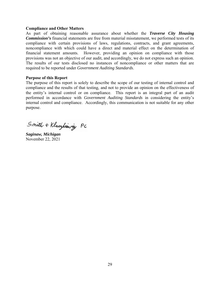#### **Compliance and Other Matters**

As part of obtaining reasonable assurance about whether the *Traverse City Housing Commission's* financial statements are free from material misstatement, we performed tests of its compliance with certain provisions of laws, regulations, contracts, and grant agreements, noncompliance with which could have a direct and material effect on the determination of financial statement amounts. However, providing an opinion on compliance with those provisions was not an objective of our audit, and accordingly, we do not express such an opinion. The results of our tests disclosed no instances of noncompliance or other matters that are required to be reported under *Government Auditing Standards*.

### **Purpose of this Report**

The purpose of this report is solely to describe the scope of our testing of internal control and compliance and the results of that testing, and not to provide an opinion on the effectiveness of the entity's internal control or on compliance. This report is an integral part of an audit performed in accordance with *Government Auditing Standards* in considering the entity's internal control and compliance. Accordingly, this communication is not suitable for any other purpose.

Smith + Klacyhiavicy PC

*Saginaw, Michigan* November 22, 2021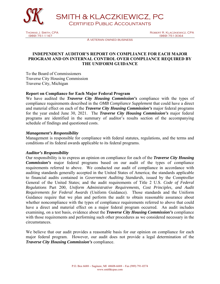

SMITH & KLACZKIEWICZ, PC Certified Public Accountants

Thomas J. Smith, CPA Robert R. Klaczkiewicz, CPA Robert R. Klaczkiewicz, CPA Robert R. Klaczkiewicz, CPA (989)<br>1989) 751-3064 (989) 751-3064 (989) 751-3064

A veteran owned business

## **INDEPENDENT AUDITOR'S REPORT ON COMPLIANCE FOR EACH MAJOR PROGRAM AND ON INTERNAL CONTROL OVER COMPLIANCE REQUIRED BY THE UNIFORM GUIDANCE**

To the Board of Commissioners Traverse City Housing Commission Traverse City, Michigan

## **Report on Compliance for Each Major Federal Program**

We have audited the *Traverse City Housing Commission's* compliance with the types of compliance requirements described in the *OMB Compliance Supplement* that could have a direct and material effect on each of the *Traverse City Housing Commission's* major federal programs for the year ended June 30, 2021. The *Traverse City Housing Commission's* major federal programs are identified in the summary of auditor's results section of the accompanying schedule of findings and questioned costs.

## *Management's Responsibility*

Management is responsible for compliance with federal statutes, regulations, and the terms and conditions of its federal awards applicable to its federal programs.

## *Auditor's Responsibility*

Our responsibility is to express an opinion on compliance for each of the *Traverse City Housing Commission's* major federal programs based on our audit of the types of compliance requirements referred to above. We conducted our audit of compliance in accordance with auditing standards generally accepted in the United States of America; the standards applicable to financial audits contained in *Government Auditing Standards*, issued by the Comptroller General of the United States; and the audit requirements of Title 2 U.S. *Code of Federal Regulations* Part 200, *Uniform Administrative Requirements, Cost Principles, and Audit Requirements for Federal Awards* (Uniform Guidance). Those standards and the Uniform Guidance require that we plan and perform the audit to obtain reasonable assurance about whether noncompliance with the types of compliance requirements referred to above that could have a direct and material effect on a major federal program occurred. An audit includes examining, on a test basis, evidence about the *Traverse City Housing Commission's* compliance with those requirements and performing such other procedures as we considered necessary in the circumstances.

We believe that our audit provides a reasonable basis for our opinion on compliance for each major federal program. However, our audit does not provide a legal determination of the *Traverse City Housing Commission's* compliance.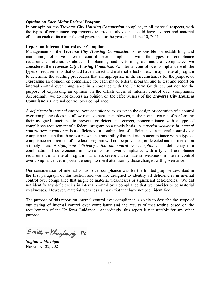### *Opinion on Each Major Federal Program*

In our opinion, the *Traverse City Housing Commission* complied, in all material respects, with the types of compliance requirements referred to above that could have a direct and material effect on each of its major federal programs for the year ended June 30, 2021.

#### **Report on Internal Control over Compliance**

Management of the *Traverse City Housing Commission* is responsible for establishing and maintaining effective internal control over compliance with the types of compliance requirements referred to above. In planning and performing our audit of compliance, we considered the *Traverse City Housing Commission's* internal control over compliance with the types of requirements that could have a direct and material effect on each major federal program to determine the auditing procedures that are appropriate in the circumstances for the purpose of expressing an opinion on compliance for each major federal program and to test and report on internal control over compliance in accordance with the Uniform Guidance, but not for the purpose of expressing an opinion on the effectiveness of internal control over compliance. Accordingly, we do not express an opinion on the effectiveness of the *Traverse City Housing Commission's* internal control over compliance.

A *deficiency in internal control over compliance* exists when the design or operation of a control over compliance does not allow management or employees, in the normal course of performing their assigned functions, to prevent, or detect and correct, noncompliance with a type of compliance requirement of a federal program on a timely basis. A *material weakness in internal control over compliance* is a deficiency, or combination of deficiencies, in internal control over compliance, such that there is a reasonable possibility that material noncompliance with a type of compliance requirement of a federal program will not be prevented, or detected and corrected, on a timely basis. A *significant deficiency in internal control over compliance* is a deficiency, or a combination of deficiencies, in internal control over compliance with a type of compliance requirement of a federal program that is less severe than a material weakness in internal control over compliance, yet important enough to merit attention by those charged with governance.

Our consideration of internal control over compliance was for the limited purpose described in the first paragraph of this section and was not designed to identify all deficiencies in internal control over compliance that might be material weaknesses or significant deficiencies. We did not identify any deficiencies in internal control over compliance that we consider to be material weaknesses. However, material weaknesses may exist that have not been identified.

The purpose of this report on internal control over compliance is solely to describe the scope of our testing of internal control over compliance and the results of that testing based on the requirements of the Uniform Guidance. Accordingly, this report is not suitable for any other purpose.

Smith + Klacyhiavicy PC

*Saginaw, Michigan*  November 22, 2021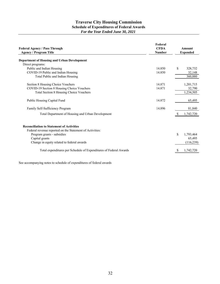### **Traverse City Housing Commission Schedule of Expenditures of Federal Awards** *For the Year Ended June 30, 2021*

| <b>Federal Agency / Pass Through</b><br><b>Agency / Program Title</b>                                                                                                                                      | Federal<br><b>CFDA</b><br><b>Number</b> |    | Amount<br><b>Expended</b>         |
|------------------------------------------------------------------------------------------------------------------------------------------------------------------------------------------------------------|-----------------------------------------|----|-----------------------------------|
| Department of Housing and Urban Development                                                                                                                                                                |                                         |    |                                   |
| Direct programs:                                                                                                                                                                                           |                                         |    |                                   |
| Public and Indian Housing                                                                                                                                                                                  | 14.850                                  | \$ | 328,732                           |
| COVID-19 Public and Indian Housing                                                                                                                                                                         | 14.850                                  |    | 32.148                            |
| Total Public and Indian Housing                                                                                                                                                                            |                                         |    | 360,880                           |
| Section 8 Housing Choice Vouchers                                                                                                                                                                          | 14.871                                  |    | 1,201,715                         |
| COVID-19 Section 8 Housing Choice Vouchers                                                                                                                                                                 | 14.871                                  |    | 32,790                            |
| Total Section 8 Housing Choice Vouchers                                                                                                                                                                    |                                         |    | 1,234,505                         |
| Public Housing Capital Fund                                                                                                                                                                                | 14.872                                  |    | 65,495                            |
| Family Self-Sufficiency Program                                                                                                                                                                            | 14.896                                  |    | 81,840                            |
| Total Department of Housing and Urban Development                                                                                                                                                          |                                         | -S | 1,742,720                         |
| <b>Reconciliation to Statement of Activities</b><br>Federal revenue reported on the Statement of Activities:<br>Program grants - subsidies<br>Capital grants<br>Change in equity related to federal awards |                                         | \$ | 1,793,464<br>65,495<br>(116, 239) |
| Total expenditures per Schedule of Expenditures of Federal Awards                                                                                                                                          |                                         |    | 1,742,720                         |

See accompanying notes to schedule of expenditures of federal awards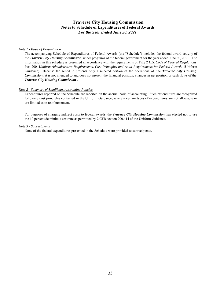#### *Note 1 - Basis of Presentation*

The accompanying Schedule of Expenditures of Federal Awards (the "Schedule") includes the federal award activity of the *Traverse City Housing Commission* under programs of the federal government for the year ended June 30, 2021. The information in this schedule is presented in accordance with the requirements of Title 2 *U.S. Code of Federal Regulations* Part 200, *Uniform Administrative Requirements, Cost Principles and Audit Requirements for Federal Awards* (Uniform Guidance). Because the schedule presents only a selected portion of the operations of the *Traverse City Housing Commission* , it is not intended to and does not present the financial position, changes in net position or cash flows of the *Traverse City Housing Commission* .

#### *Note 2 - Summary of Significant Accounting Policies*

Expenditures reported on the Schedule are reported on the accrual basis of accounting. Such expenditures are recognized following cost principles contained in the Uniform Guidance, wherein certain types of expenditures are not allowable or are limited as to reimbursement.

For purposes of charging indirect costs to federal awards, the *Traverse City Housing Commission* has elected not to use the 10 percent de minimis cost rate as permitted by 2 CFR section 200.414 of the Uniform Guidance.

#### *Note 3 - Subrecipients*

None of the federal expenditures presented in the Schedule were provided to subrecipients.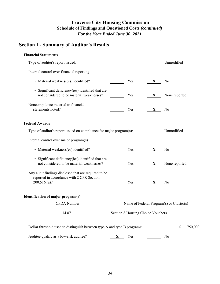## **Section I - Summary of Auditor's Results**

## **Financial Statements** Type of auditor's report issued: Unmodified Internal control over financial reporting • Material weakness(es) identified? Yes **X** No • Significant deficiency(ies) identified that are not considered to be material weaknesses? Yes X None reported Noncompliance material to financial statements noted? **Yes X** No **Federal Awards** Type of auditor's report issued on compliance for major program(s): Unmodified Internal control over major program(s) • Material weakness(es) identified? Yes **X** No • Significant deficiency(ies) identified that are not considered to be material weaknesses? Yes X None reported Any audit findings disclosed that are required to be reported in accordance with 2 CFR Section 200.516.(a)? Yes **X** No **Identification of major program(s):**

| Name of Federal Program(s) or Cluster(s)<br>CFDA Number                  |                                   |  |         |
|--------------------------------------------------------------------------|-----------------------------------|--|---------|
| 14.871                                                                   | Section 8 Housing Choice Vouchers |  |         |
| Dollar threshold used to distinguish between type A and type B programs: |                                   |  | 750,000 |

Auditee qualify as a low-risk auditee? **X** Yes No